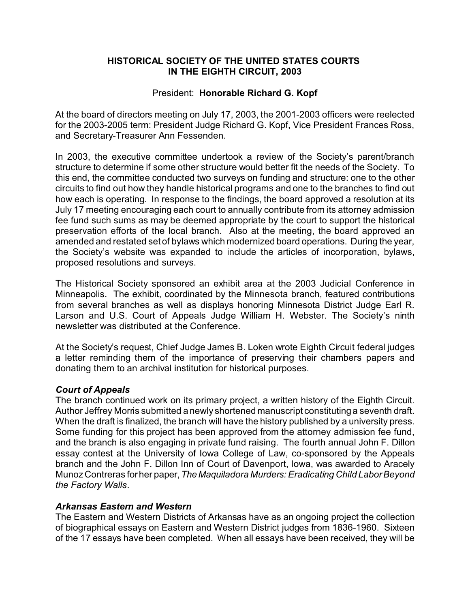# **HISTORICAL SOCIETY OF THE UNITED STATES COURTS IN THE EIGHTH CIRCUIT, 2003**

# President: **Honorable Richard G. Kopf**

At the board of directors meeting on July 17, 2003, the 2001-2003 officers were reelected for the 2003-2005 term: President Judge Richard G. Kopf, Vice President Frances Ross, and Secretary-Treasurer Ann Fessenden.

In 2003, the executive committee undertook a review of the Society's parent/branch structure to determine if some other structure would better fit the needs of the Society. To this end, the committee conducted two surveys on funding and structure: one to the other circuits to find out how they handle historical programs and one to the branches to find out how each is operating. In response to the findings, the board approved a resolution at its July 17 meeting encouraging each court to annually contribute from its attorney admission fee fund such sums as may be deemed appropriate by the court to support the historical preservation efforts of the local branch. Also at the meeting, the board approved an amended and restated set of bylaws which modernized board operations. During the year, the Society's website was expanded to include the articles of incorporation, bylaws, proposed resolutions and surveys.

The Historical Society sponsored an exhibit area at the 2003 Judicial Conference in Minneapolis. The exhibit, coordinated by the Minnesota branch, featured contributions from several branches as well as displays honoring Minnesota District Judge Earl R. Larson and U.S. Court of Appeals Judge William H. Webster. The Society's ninth newsletter was distributed at the Conference.

At the Society's request, Chief Judge James B. Loken wrote Eighth Circuit federal judges a letter reminding them of the importance of preserving their chambers papers and donating them to an archival institution for historical purposes.

# *Court of Appeals*

The branch continued work on its primary project, a written history of the Eighth Circuit. Author Jeffrey Morris submitted a newly shortened manuscript constituting a seventh draft. When the draft is finalized, the branch will have the history published by a university press. Some funding for this project has been approved from the attorney admission fee fund, and the branch is also engaging in private fund raising. The fourth annual John F. Dillon essay contest at the University of Iowa College of Law, co-sponsored by the Appeals branch and the John F. Dillon Inn of Court of Davenport, Iowa, was awarded to Aracely Munoz Contreras for her paper, *The Maquiladora Murders: Eradicating Child Labor Beyond the Factory Walls*.

# *Arkansas Eastern and Western*

The Eastern and Western Districts of Arkansas have as an ongoing project the collection of biographical essays on Eastern and Western District judges from 1836-1960. Sixteen of the 17 essays have been completed. When all essays have been received, they will be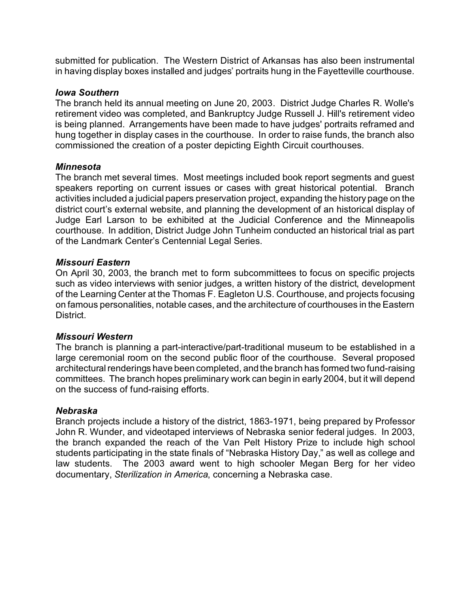submitted for publication. The Western District of Arkansas has also been instrumental in having display boxes installed and judges' portraits hung in the Fayetteville courthouse.

### *Iowa Southern*

The branch held its annual meeting on June 20, 2003. District Judge Charles R. Wolle's retirement video was completed, and Bankruptcy Judge Russell J. Hill's retirement video is being planned. Arrangements have been made to have judges' portraits reframed and hung together in display cases in the courthouse. In order to raise funds, the branch also commissioned the creation of a poster depicting Eighth Circuit courthouses.

### *Minnesota*

The branch met several times. Most meetings included book report segments and guest speakers reporting on current issues or cases with great historical potential. Branch activities included a judicial papers preservation project, expanding the history page on the district court's external website, and planning the development of an historical display of Judge Earl Larson to be exhibited at the Judicial Conference and the Minneapolis courthouse. In addition, District Judge John Tunheim conducted an historical trial as part of the Landmark Center's Centennial Legal Series.

### *Missouri Eastern*

On April 30, 2003, the branch met to form subcommittees to focus on specific projects such as video interviews with senior judges, a written history of the district, development of the Learning Center at the Thomas F. Eagleton U.S. Courthouse, and projects focusing on famous personalities, notable cases, and the architecture of courthouses in the Eastern District.

#### *Missouri Western*

The branch is planning a part-interactive/part-traditional museum to be established in a large ceremonial room on the second public floor of the courthouse. Several proposed architectural renderings have been completed, and the branch has formed two fund-raising committees. The branch hopes preliminary work can begin in early 2004, but it will depend on the success of fund-raising efforts.

#### *Nebraska*

Branch projects include a history of the district, 1863-1971, being prepared by Professor John R. Wunder, and videotaped interviews of Nebraska senior federal judges. In 2003, the branch expanded the reach of the Van Pelt History Prize to include high school students participating in the state finals of "Nebraska History Day," as well as college and law students. The 2003 award went to high schooler Megan Berg for her video documentary, *Sterilization in America*, concerning a Nebraska case.